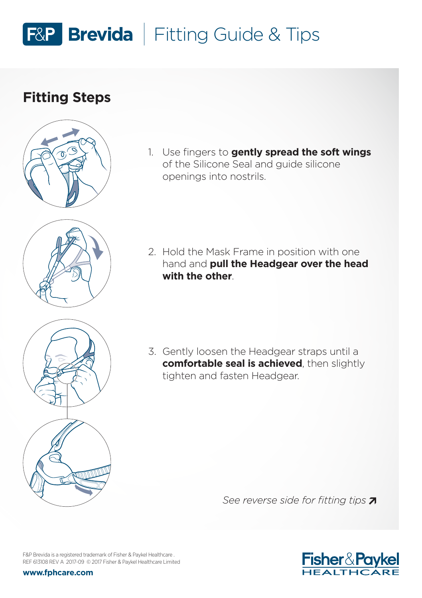## F&P Brevida | Fitting Guide & Tips

## **Fitting Steps**





1. Use fingers to **gently spread the soft wings** of the Silicone Seal and guide silicone openings into nostrils.

2. Hold the Mask Frame in position with one hand and **pull the Headgear over the head with the other**.

3. Gently loosen the Headgear straps until a **comfortable seal is achieved**, then slightly tighten and fasten Headgear.

*See reverse side for fitting tips* 



F&P Brevida is a registered trademark of Fisher & Paykel Healthcare . REF 613108 REV A 2017-09 © 2017 Fisher & Paykel Healthcare Limited

**www.fphcare.com**